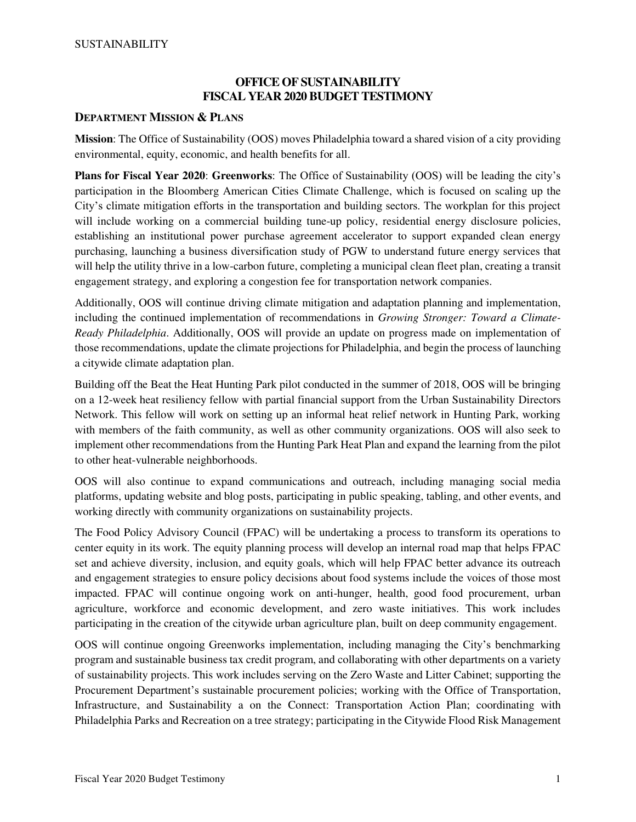## **OFFICE OF SUSTAINABILITY FISCAL YEAR 2020 BUDGET TESTIMONY**

### **DEPARTMENT MISSION & PLANS**

**Mission**: The Office of Sustainability (OOS) moves Philadelphia toward a shared vision of a city providing environmental, equity, economic, and health benefits for all.

**Plans for Fiscal Year 2020**: **Greenworks**: The Office of Sustainability (OOS) will be leading the city's participation in the Bloomberg American Cities Climate Challenge, which is focused on scaling up the City's climate mitigation efforts in the transportation and building sectors. The workplan for this project will include working on a commercial building tune-up policy, residential energy disclosure policies, establishing an institutional power purchase agreement accelerator to support expanded clean energy purchasing, launching a business diversification study of PGW to understand future energy services that will help the utility thrive in a low-carbon future, completing a municipal clean fleet plan, creating a transit engagement strategy, and exploring a congestion fee for transportation network companies.

Additionally, OOS will continue driving climate mitigation and adaptation planning and implementation, including the continued implementation of recommendations in *Growing Stronger: Toward a Climate-Ready Philadelphia*. Additionally, OOS will provide an update on progress made on implementation of those recommendations, update the climate projections for Philadelphia, and begin the process of launching a citywide climate adaptation plan.

Building off the Beat the Heat Hunting Park pilot conducted in the summer of 2018, OOS will be bringing on a 12-week heat resiliency fellow with partial financial support from the Urban Sustainability Directors Network. This fellow will work on setting up an informal heat relief network in Hunting Park, working with members of the faith community, as well as other community organizations. OOS will also seek to implement other recommendations from the Hunting Park Heat Plan and expand the learning from the pilot to other heat-vulnerable neighborhoods.

OOS will also continue to expand communications and outreach, including managing social media platforms, updating website and blog posts, participating in public speaking, tabling, and other events, and working directly with community organizations on sustainability projects.

The Food Policy Advisory Council (FPAC) will be undertaking a process to transform its operations to center equity in its work. The equity planning process will develop an internal road map that helps FPAC set and achieve diversity, inclusion, and equity goals, which will help FPAC better advance its outreach and engagement strategies to ensure policy decisions about food systems include the voices of those most impacted. FPAC will continue ongoing work on anti-hunger, health, good food procurement, urban agriculture, workforce and economic development, and zero waste initiatives. This work includes participating in the creation of the citywide urban agriculture plan, built on deep community engagement.

OOS will continue ongoing Greenworks implementation, including managing the City's benchmarking program and sustainable business tax credit program, and collaborating with other departments on a variety of sustainability projects. This work includes serving on the Zero Waste and Litter Cabinet; supporting the Procurement Department's sustainable procurement policies; working with the Office of Transportation, Infrastructure, and Sustainability a on the Connect: Transportation Action Plan; coordinating with Philadelphia Parks and Recreation on a tree strategy; participating in the Citywide Flood Risk Management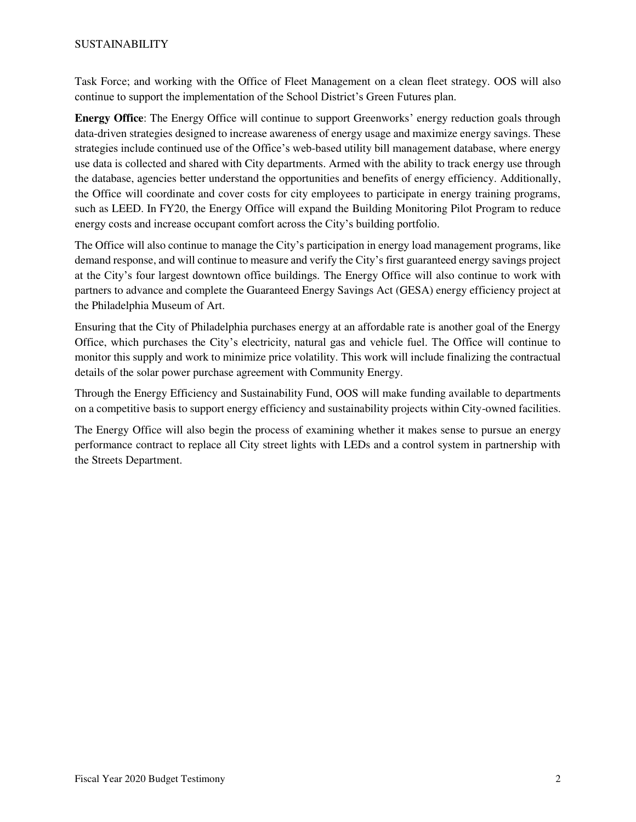Task Force; and working with the Office of Fleet Management on a clean fleet strategy. OOS will also continue to support the implementation of the School District's Green Futures plan.

**Energy Office**: The Energy Office will continue to support Greenworks' energy reduction goals through data-driven strategies designed to increase awareness of energy usage and maximize energy savings. These strategies include continued use of the Office's web-based utility bill management database, where energy use data is collected and shared with City departments. Armed with the ability to track energy use through the database, agencies better understand the opportunities and benefits of energy efficiency. Additionally, the Office will coordinate and cover costs for city employees to participate in energy training programs, such as LEED. In FY20, the Energy Office will expand the Building Monitoring Pilot Program to reduce energy costs and increase occupant comfort across the City's building portfolio.

The Office will also continue to manage the City's participation in energy load management programs, like demand response, and will continue to measure and verify the City's first guaranteed energy savings project at the City's four largest downtown office buildings. The Energy Office will also continue to work with partners to advance and complete the Guaranteed Energy Savings Act (GESA) energy efficiency project at the Philadelphia Museum of Art.

Ensuring that the City of Philadelphia purchases energy at an affordable rate is another goal of the Energy Office, which purchases the City's electricity, natural gas and vehicle fuel. The Office will continue to monitor this supply and work to minimize price volatility. This work will include finalizing the contractual details of the solar power purchase agreement with Community Energy.

Through the Energy Efficiency and Sustainability Fund, OOS will make funding available to departments on a competitive basis to support energy efficiency and sustainability projects within City-owned facilities.

The Energy Office will also begin the process of examining whether it makes sense to pursue an energy performance contract to replace all City street lights with LEDs and a control system in partnership with the Streets Department.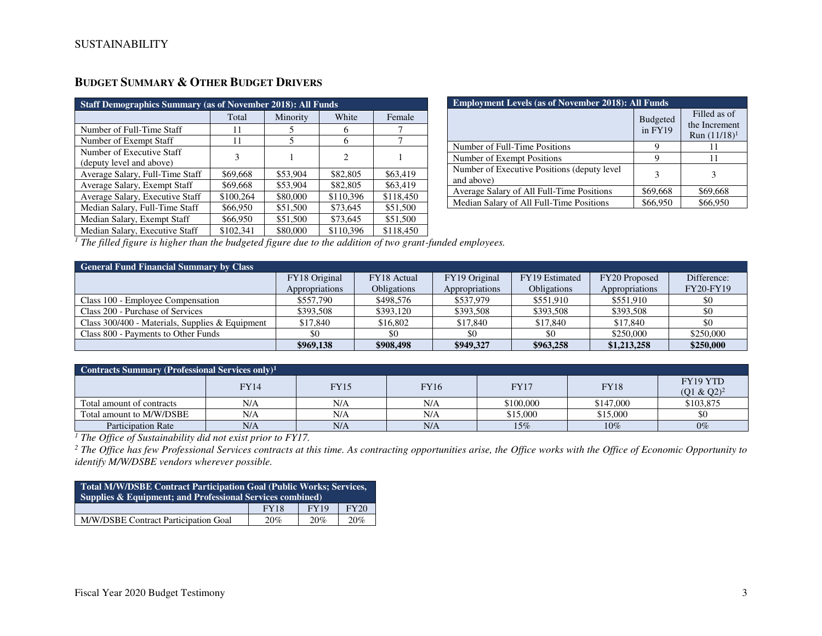| <b>Staff Demographics Summary (as of November 2018): All Funds</b> |           |          |                             |           |  |  |  |  |  |
|--------------------------------------------------------------------|-----------|----------|-----------------------------|-----------|--|--|--|--|--|
|                                                                    | Total     | Minority | White                       | Female    |  |  |  |  |  |
| Number of Full-Time Staff                                          | 11        | 5        | 6                           |           |  |  |  |  |  |
| Number of Exempt Staff                                             | 11        | 5        | 6                           |           |  |  |  |  |  |
| Number of Executive Staff<br>(deputy level and above)              | 3         |          | $\mathcal{D}_{\mathcal{L}}$ |           |  |  |  |  |  |
| Average Salary, Full-Time Staff                                    | \$69,668  | \$53,904 | \$82,805                    | \$63,419  |  |  |  |  |  |
| Average Salary, Exempt Staff                                       | \$69,668  | \$53,904 | \$82,805                    | \$63,419  |  |  |  |  |  |
| Average Salary, Executive Staff                                    | \$100,264 | \$80,000 | \$110,396                   | \$118,450 |  |  |  |  |  |
| Median Salary, Full-Time Staff                                     | \$66,950  | \$51,500 | \$73,645                    | \$51,500  |  |  |  |  |  |
| Median Salary, Exempt Staff                                        | \$66,950  | \$51,500 | \$73,645                    | \$51,500  |  |  |  |  |  |
| Median Salary, Executive Staff                                     | \$102,341 | \$80,000 | \$110,396                   | \$118,450 |  |  |  |  |  |

| Budget Summary & Other Budget Drivers |  |
|---------------------------------------|--|
|---------------------------------------|--|

| <b>Employment Levels (as of November 2018): All Funds</b> |                            |                                                  |  |  |  |  |  |
|-----------------------------------------------------------|----------------------------|--------------------------------------------------|--|--|--|--|--|
|                                                           | <b>Budgeted</b><br>in FY19 | Filled as of<br>the Increment<br>Run $(11/18)^1$ |  |  |  |  |  |
| Number of Full-Time Positions                             | 9                          | 11                                               |  |  |  |  |  |
| Number of Exempt Positions                                | 9                          | 11                                               |  |  |  |  |  |
| Number of Executive Positions (deputy level<br>and above) | 3                          |                                                  |  |  |  |  |  |
| Average Salary of All Full-Time Positions                 | \$69,668                   | \$69,668                                         |  |  |  |  |  |
| Median Salary of All Full-Time Positions                  | \$66,950                   | \$66,950                                         |  |  |  |  |  |

<sup>1</sup> The filled figure is higher than the budgeted figure due to the addition of two grant-funded employees.

| <b>General Fund Financial Summary by Class</b>    |                |                    |                |                    |                |             |  |  |  |  |  |
|---------------------------------------------------|----------------|--------------------|----------------|--------------------|----------------|-------------|--|--|--|--|--|
|                                                   | FY18 Original  | FY18 Actual        | FY19 Original  | FY19 Estimated     | FY20 Proposed  | Difference: |  |  |  |  |  |
|                                                   | Appropriations | <b>Obligations</b> | Appropriations | <b>Obligations</b> | Appropriations | FY20-FY19   |  |  |  |  |  |
| Class 100 - Employee Compensation                 | \$557,790      | \$498,576          | \$537,979      | \$551.910          | \$551.910      | \$0         |  |  |  |  |  |
| Class 200 - Purchase of Services                  | \$393,508      | \$393.120          | \$393,508      | \$393,508          | \$393,508      | \$0         |  |  |  |  |  |
| Class $300/400$ - Materials, Supplies & Equipment | \$17,840       | \$16,802           | \$17,840       | \$17,840           | \$17,840       | \$0         |  |  |  |  |  |
| Class 800 - Payments to Other Funds               | \$0            |                    | \$0            | \$0                | \$250,000      | \$250,000   |  |  |  |  |  |
|                                                   | \$969,138      | \$908,498          | \$949,327      | \$963,258          | \$1,213,258    | \$250,000   |  |  |  |  |  |

| Contracts Summary (Professional Services only) <sup>1</sup> |             |      |      |             |           |                                  |  |  |  |  |
|-------------------------------------------------------------|-------------|------|------|-------------|-----------|----------------------------------|--|--|--|--|
|                                                             | <b>FY14</b> | FY15 | FY16 | <b>FY17</b> | FY18      | <b>FY19 YTD</b><br>$(Q1 & Q2)^2$ |  |  |  |  |
| Total amount of contracts                                   | N/A         | N/A  | N/A  | \$100,000   | \$147,000 | \$103,875                        |  |  |  |  |
| Total amount to M/W/DSBE                                    | N/A         | N/A  | N/A  | \$15,000    | \$15,000  | \$0                              |  |  |  |  |
| <b>Participation Rate</b>                                   | N/A         | N/A  | N/A  | 15%         | 10%       | $0\%$                            |  |  |  |  |

Participation Rate <u>N/A N/A N/A N/A N/A N/A N5%</u> 15% 2006 10% 0% 0% 0% 0% 0% 0% 1 ne Office of Sustainability did not exist prior to FY17.<br><sup>1</sup> The Office of Sustainability did not exist prior to FY17.<br><sup>2</sup> The Office has fe *identify M/W/DSBE vendors wherever possible.* 

| <b>Total M/W/DSBE Contract Participation Goal (Public Works; Services,</b><br>Supplies & Equipment; and Professional Services combined) |  |  |  |  |  |  |  |  |
|-----------------------------------------------------------------------------------------------------------------------------------------|--|--|--|--|--|--|--|--|
| FY20<br><b>FY19</b><br><b>FY18</b>                                                                                                      |  |  |  |  |  |  |  |  |
| M/W/DSBE Contract Participation Goal<br>20%<br>20%<br>20%                                                                               |  |  |  |  |  |  |  |  |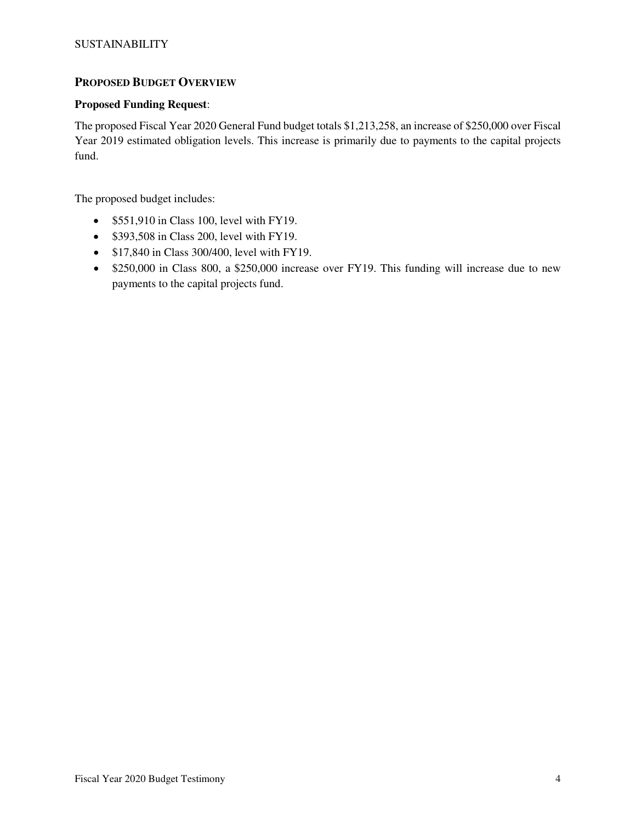## **PROPOSED BUDGET OVERVIEW**

## **Proposed Funding Request**:

The proposed Fiscal Year 2020 General Fund budget totals \$1,213,258, an increase of \$250,000 over Fiscal Year 2019 estimated obligation levels. This increase is primarily due to payments to the capital projects fund.

The proposed budget includes:

- \$551,910 in Class 100, level with FY19.
- \$393,508 in Class 200, level with FY19.
- \$17,840 in Class 300/400, level with FY19.
- \$250,000 in Class 800, a \$250,000 increase over FY19. This funding will increase due to new payments to the capital projects fund.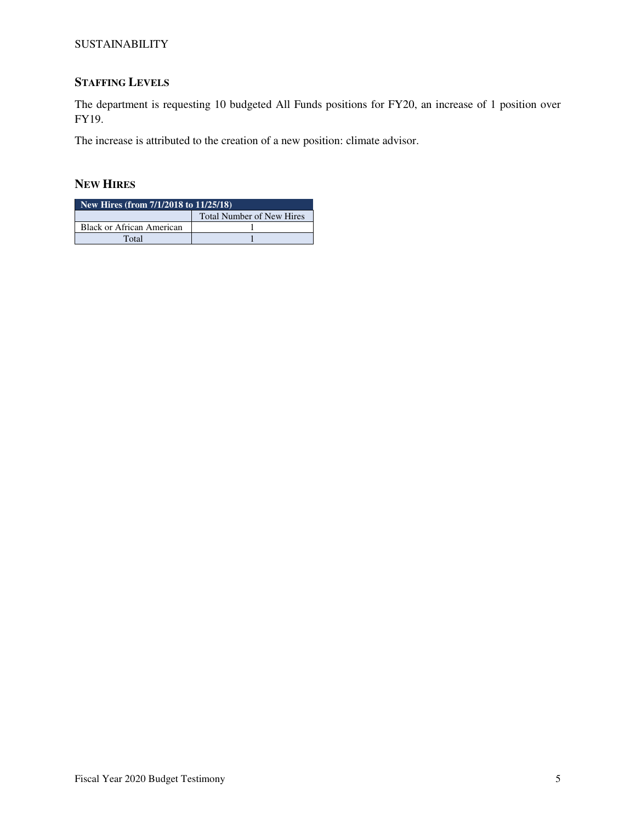# **STAFFING LEVELS**

The department is requesting 10 budgeted All Funds positions for FY20, an increase of 1 position over FY19.

The increase is attributed to the creation of a new position: climate advisor.

## **NEW HIRES**

| New Hires (from 7/1/2018 to 11/25/18) |  |  |  |  |  |  |  |
|---------------------------------------|--|--|--|--|--|--|--|
| <b>Total Number of New Hires</b>      |  |  |  |  |  |  |  |
| Black or African American             |  |  |  |  |  |  |  |
| Total                                 |  |  |  |  |  |  |  |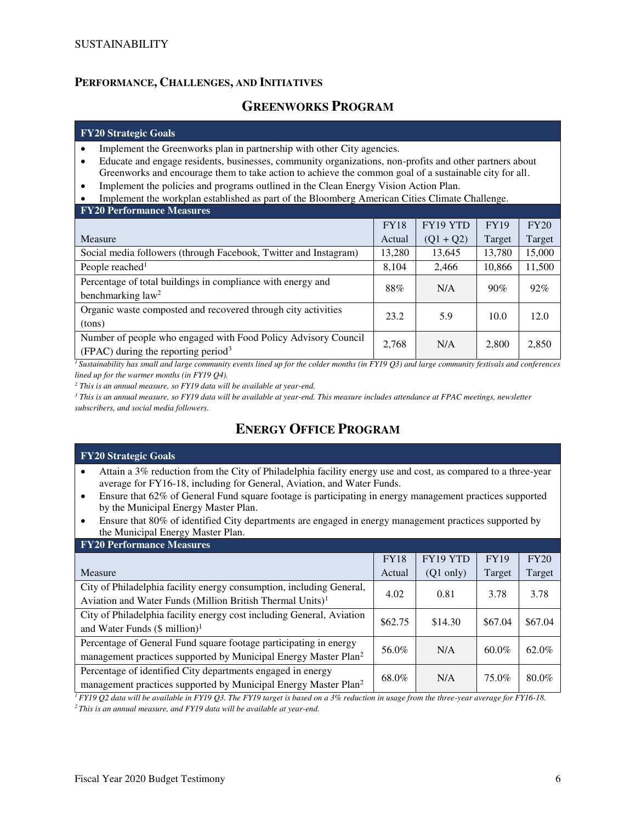## **PERFORMANCE, CHALLENGES, AND INITIATIVES**

# **GREENWORKS PROGRAM**

#### **FY20 Strategic Goals**

- Implement the Greenworks plan in partnership with other City agencies.
- Educate and engage residents, businesses, community organizations, non-profits and other partners about Greenworks and encourage them to take action to achieve the common goal of a sustainable city for all.
- Implement the policies and programs outlined in the Clean Energy Vision Action Plan.
- Implement the workplan established as part of the Bloomberg American Cities Climate Challenge.

| <b>FY20 Performance Measures</b>                                 |             |             |             |        |  |  |  |  |  |
|------------------------------------------------------------------|-------------|-------------|-------------|--------|--|--|--|--|--|
|                                                                  | <b>FY18</b> | FY19 YTD    | <b>FY19</b> | FY20   |  |  |  |  |  |
| Measure                                                          | Actual      | $(Q1 + Q2)$ | Target      | Target |  |  |  |  |  |
| Social media followers (through Facebook, Twitter and Instagram) | 13,280      | 13,645      | 13.780      | 15,000 |  |  |  |  |  |
| People reached <sup>1</sup>                                      | 8,104       | 2,466       | 10,866      | 11,500 |  |  |  |  |  |
| Percentage of total buildings in compliance with energy and      | 88%         | N/A         | 90%         | 92%    |  |  |  |  |  |
| benchmarking law <sup>2</sup>                                    |             |             |             |        |  |  |  |  |  |
| Organic waste composted and recovered through city activities    | 23.2        | 5.9         | 10.0        | 12.0   |  |  |  |  |  |
| (tons)                                                           |             |             |             |        |  |  |  |  |  |
| Number of people who engaged with Food Policy Advisory Council   | 2,768       | N/A         | 2,800       | 2,850  |  |  |  |  |  |
| (FPAC) during the reporting period <sup>3</sup>                  |             |             |             |        |  |  |  |  |  |

*<sup>1</sup>Sustainability has small and large community events lined up for the colder months (in FY19 Q3) and large community festivals and conferences lined up for the warmer months (in FY19 Q4).* 

*2 This is an annual measure, so FY19 data will be available at year-end.* 

*3 This is an annual measure, so FY19 data will be available at year-end. This measure includes attendance at FPAC meetings, newsletter subscribers, and social media followers.* 

# **ENERGY OFFICE PROGRAM**

#### **FY20 Strategic Goals**

- Attain a 3% reduction from the City of Philadelphia facility energy use and cost, as compared to a three-year average for FY16-18, including for General, Aviation, and Water Funds.
- Ensure that 62% of General Fund square footage is participating in energy management practices supported by the Municipal Energy Master Plan.
- Ensure that 80% of identified City departments are engaged in energy management practices supported by the Municipal Energy Master Plan.

| <b>FY20 Performance Measures</b>                                            |             |                     |             |         |
|-----------------------------------------------------------------------------|-------------|---------------------|-------------|---------|
|                                                                             | <b>FY18</b> | FY19 YTD            | <b>FY19</b> | FY20    |
| Measure                                                                     | Actual      | $(Q1 \text{ only})$ | Target      | Target  |
| City of Philadelphia facility energy consumption, including General,        | 4.02        | 0.81                | 3.78        | 3.78    |
| Aviation and Water Funds (Million British Thermal Units) <sup>1</sup>       |             |                     |             |         |
| City of Philadelphia facility energy cost including General, Aviation       | \$62.75     | \$14.30             | \$67.04     | \$67.04 |
| and Water Funds $(\$$ million) <sup>1</sup>                                 |             |                     |             |         |
| Percentage of General Fund square footage participating in energy           | 56.0%       | N/A                 | $60.0\%$    | 62.0%   |
| management practices supported by Municipal Energy Master Plan <sup>2</sup> |             |                     |             |         |
| Percentage of identified City departments engaged in energy                 | 68.0%       | N/A                 | 75.0%       | 80.0%   |
| management practices supported by Municipal Energy Master Plan <sup>2</sup> |             |                     |             |         |

*<sup>1</sup>FY19 Q2 data will be available in FY19 Q3. The FY19 target is based on a 3% reduction in usage from the three-year average for FY16-18.* 

*2 This is an annual measure, and FY19 data will be available at year-end.*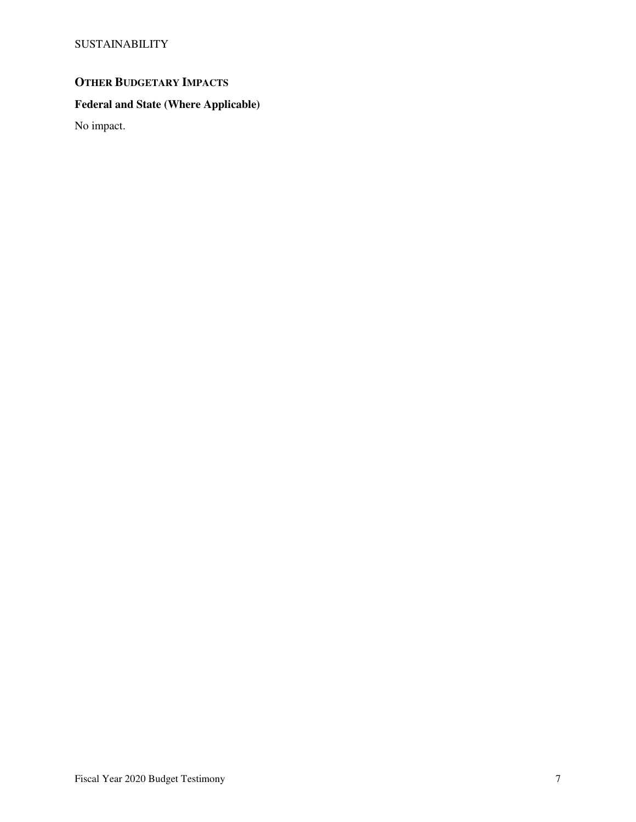# **OTHER BUDGETARY IMPACTS**

# **Federal and State (Where Applicable)**

No impact.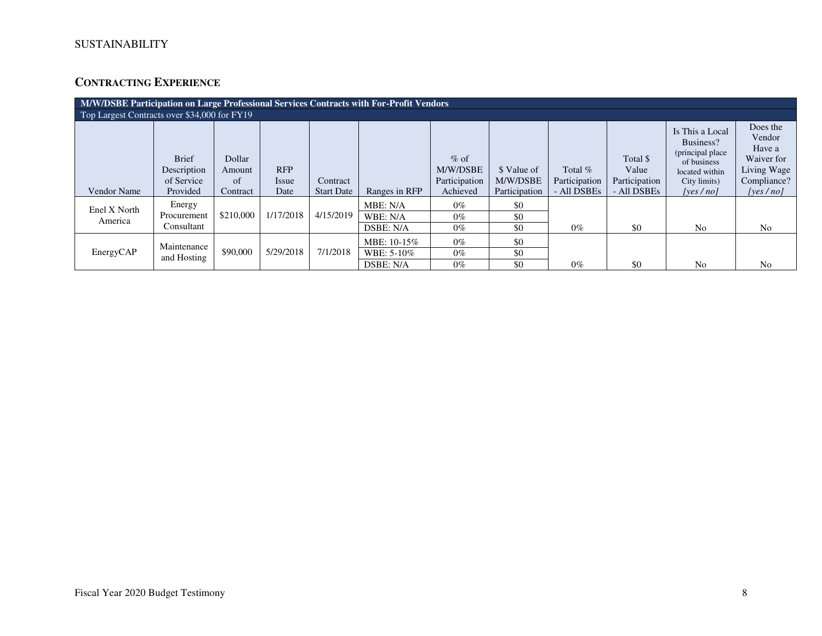# **CONTRACTING EXPERIENCE**

|                                              | M/W/DSBE Participation on Large Professional Services Contracts with For-Profit Vendors |                        |                     |                   |                                        |                                     |                         |                            |                                    |                                                                                                    |                                                                          |
|----------------------------------------------|-----------------------------------------------------------------------------------------|------------------------|---------------------|-------------------|----------------------------------------|-------------------------------------|-------------------------|----------------------------|------------------------------------|----------------------------------------------------------------------------------------------------|--------------------------------------------------------------------------|
| Top Largest Contracts over \$34,000 for FY19 |                                                                                         |                        |                     |                   |                                        |                                     |                         |                            |                                    |                                                                                                    |                                                                          |
|                                              | <b>Brief</b><br>Description<br>of Service                                               | Dollar<br>Amount<br>of | <b>RFP</b><br>Issue | Contract          |                                        | $%$ of<br>M/W/DSBE<br>Participation | \$ Value of<br>M/W/DSBE | Total $%$<br>Participation | Total \$<br>Value<br>Participation | Is This a Local<br>Business?<br>(principal place)<br>of business<br>located within<br>City limits) | Does the<br>Vendor<br>Have a<br>Waiver for<br>Living Wage<br>Compliance? |
| <b>Vendor Name</b>                           | Provided                                                                                | Contract               | Date                | <b>Start Date</b> | Ranges in RFP                          | Achieved                            | Participation           | - All DSBEs                | - All DSBEs                        | [yes/no]                                                                                           | [yes $/no$ ]                                                             |
| Enel X North<br>America                      | Energy<br>Procurement<br>Consultant                                                     | \$210,000              | 1/17/2018           | 4/15/2019         | MBE: N/A<br>WBE: N/A<br>DSBE: N/A      | $0\%$<br>$0\%$<br>$0\%$             | \$0<br>\$0<br>\$0       | $0\%$                      | \$0                                | N <sub>0</sub>                                                                                     | N <sub>0</sub>                                                           |
| EnergyCAP                                    | Maintenance<br>and Hosting                                                              | \$90,000               | 5/29/2018           | 7/1/2018          | MBE: 10-15%<br>WBE: 5-10%<br>DSBE: N/A | $0\%$<br>$0\%$<br>$0\%$             | \$0<br>\$0<br>\$0       | $0\%$                      | \$0                                | No                                                                                                 | No                                                                       |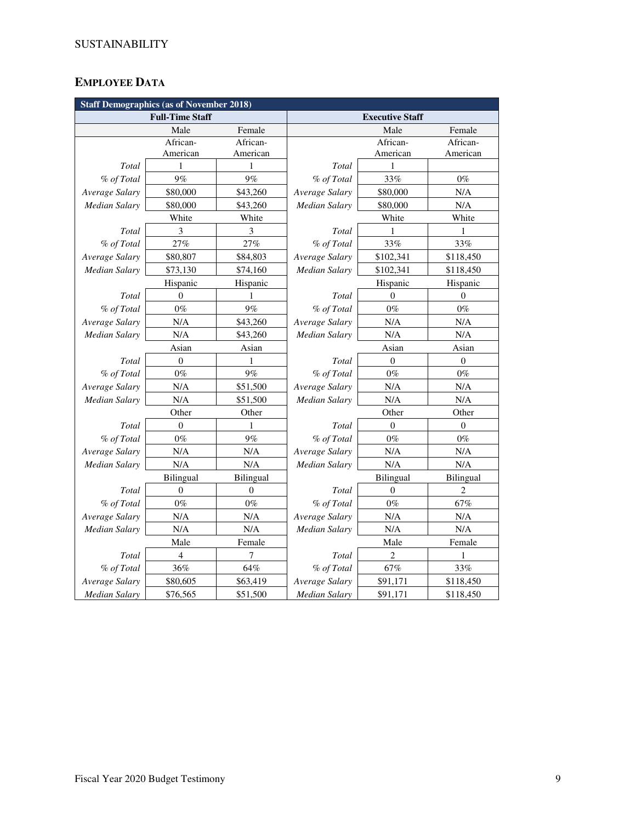# **EMPLOYEE DATA**

|                      | <b>Staff Demographics (as of November 2018)</b> |           |                            |                        |                  |  |  |  |  |  |
|----------------------|-------------------------------------------------|-----------|----------------------------|------------------------|------------------|--|--|--|--|--|
|                      | <b>Full-Time Staff</b>                          |           |                            | <b>Executive Staff</b> |                  |  |  |  |  |  |
|                      | Male                                            | Female    |                            | Male                   | Female           |  |  |  |  |  |
|                      | African-                                        | African-  |                            | African-               | African-         |  |  |  |  |  |
|                      | American                                        | American  |                            | American               | American         |  |  |  |  |  |
| Total                | 1                                               | 1         | Total                      | 1                      |                  |  |  |  |  |  |
| % of Total           | 9%                                              | 9%        | % of Total                 | 33%                    | $0\%$            |  |  |  |  |  |
| Average Salary       | \$80,000                                        | \$43,260  | Average Salary<br>\$80,000 |                        | N/A              |  |  |  |  |  |
| <b>Median Salary</b> | \$80,000                                        | \$43,260  | Median Salary              | \$80,000               | $\rm N/A$        |  |  |  |  |  |
|                      | White                                           | White     |                            | White                  | White            |  |  |  |  |  |
| Total                | 3                                               | 3         | Total                      | 1                      | 1                |  |  |  |  |  |
| % of Total           | 27%                                             | 27%       | % of Total                 | 33%                    | 33%              |  |  |  |  |  |
| Average Salary       | \$80,807                                        | \$84,803  | Average Salary             | \$102,341              | \$118,450        |  |  |  |  |  |
| <b>Median Salary</b> | \$73,130                                        | \$74,160  | Median Salary              | \$102,341              | \$118,450        |  |  |  |  |  |
|                      | Hispanic                                        | Hispanic  |                            | Hispanic               |                  |  |  |  |  |  |
| Total                | $\mathbf{0}$                                    | 1         | Total                      | $\mathbf{0}$           | $\mathbf{0}$     |  |  |  |  |  |
| % of Total           | $0\%$                                           | 9%        | % of Total                 | $0\%$                  | $0\%$            |  |  |  |  |  |
| Average Salary       | N/A                                             | \$43,260  | Average Salary             | N/A                    | N/A              |  |  |  |  |  |
| Median Salary        | N/A                                             | \$43,260  | <b>Median Salary</b>       | N/A                    | $\rm N/A$        |  |  |  |  |  |
|                      | Asian                                           | Asian     |                            | Asian                  | Asian            |  |  |  |  |  |
| Total                | $\boldsymbol{0}$                                | 1         | Total                      | $\boldsymbol{0}$       | $\boldsymbol{0}$ |  |  |  |  |  |
| % of Total           | $0\%$                                           | $9\%$     | % of Total                 | $0\%$                  | $0\%$            |  |  |  |  |  |
| Average Salary       | $\rm N/A$                                       | \$51,500  | Average Salary             | N/A                    | $\rm N/A$        |  |  |  |  |  |
| <b>Median Salary</b> | N/A                                             | \$51,500  | Median Salary              | N/A                    | N/A              |  |  |  |  |  |
|                      | Other                                           | Other     |                            | Other                  | Other            |  |  |  |  |  |
| Total                | $\overline{0}$                                  | 1         | Total                      | $\theta$               | $\mathbf{0}$     |  |  |  |  |  |
| % of Total           | $0\%$                                           | 9%        | % of Total                 | $0\%$                  | $0\%$            |  |  |  |  |  |
| Average Salary       | $\rm N/A$                                       | N/A       | Average Salary             | N/A                    | N/A              |  |  |  |  |  |
| Median Salary        | N/A                                             | N/A       | Median Salary              | N/A                    | N/A              |  |  |  |  |  |
|                      | Bilingual                                       | Bilingual |                            | Bilingual              | Bilingual        |  |  |  |  |  |
| Total                | $\overline{0}$                                  | $\theta$  | Total                      | $\overline{0}$         | $\overline{c}$   |  |  |  |  |  |
| % of Total           | $0\%$                                           | $0\%$     | % of Total                 | $0\%$                  | 67%              |  |  |  |  |  |
| Average Salary       | N/A                                             | N/A       | Average Salary             | N/A                    | $\rm N/A$        |  |  |  |  |  |
| Median Salary        | N/A                                             | N/A       | Median Salary              | N/A                    | N/A              |  |  |  |  |  |
|                      | Male                                            | Female    |                            | Male                   | Female           |  |  |  |  |  |
| Total                | $\overline{4}$                                  | 7         | Total                      | $\overline{2}$         | 1                |  |  |  |  |  |
| % of Total           | 36%                                             | 64%       | % of Total                 | $67\%$                 | 33%              |  |  |  |  |  |
| Average Salary       | \$80,605                                        | \$63,419  | Average Salary             | \$91,171               | \$118,450        |  |  |  |  |  |
| <b>Median Salary</b> | \$76,565                                        | \$51,500  | <b>Median Salary</b>       | \$91,171               | \$118,450        |  |  |  |  |  |